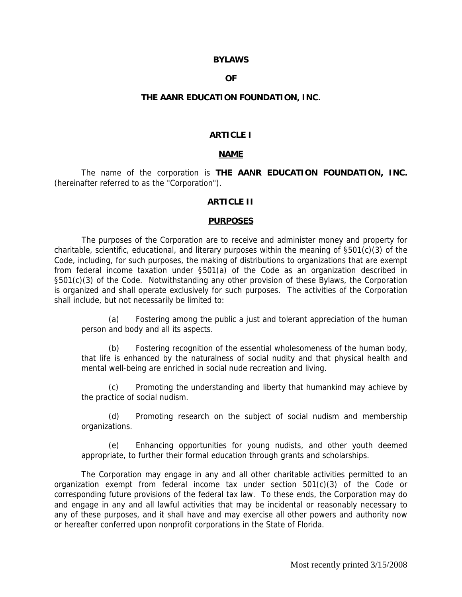#### **BYLAWS**

#### **OF**

#### **THE AANR EDUCATION FOUNDATION, INC.**

#### **ARTICLE I**

#### **NAME**

The name of the corporation is **THE AANR EDUCATION FOUNDATION, INC.** (hereinafter referred to as the "Corporation").

#### **ARTICLE II**

#### **PURPOSES**

The purposes of the Corporation are to receive and administer money and property for charitable, scientific, educational, and literary purposes within the meaning of §501(c)(3) of the Code, including, for such purposes, the making of distributions to organizations that are exempt from federal income taxation under §501(a) of the Code as an organization described in §501(c)(3) of the Code. Notwithstanding any other provision of these Bylaws, the Corporation is organized and shall operate exclusively for such purposes. The activities of the Corporation shall include, but not necessarily be limited to:

(a) Fostering among the public a just and tolerant appreciation of the human person and body and all its aspects.

(b) Fostering recognition of the essential wholesomeness of the human body, that life is enhanced by the naturalness of social nudity and that physical health and mental well-being are enriched in social nude recreation and living.

(c) Promoting the understanding and liberty that humankind may achieve by the practice of social nudism.

(d) Promoting research on the subject of social nudism and membership organizations.

(e) Enhancing opportunities for young nudists, and other youth deemed appropriate, to further their formal education through grants and scholarships.

The Corporation may engage in any and all other charitable activities permitted to an organization exempt from federal income tax under section 501(c)(3) of the Code or corresponding future provisions of the federal tax law. To these ends, the Corporation may do and engage in any and all lawful activities that may be incidental or reasonably necessary to any of these purposes, and it shall have and may exercise all other powers and authority now or hereafter conferred upon nonprofit corporations in the State of Florida.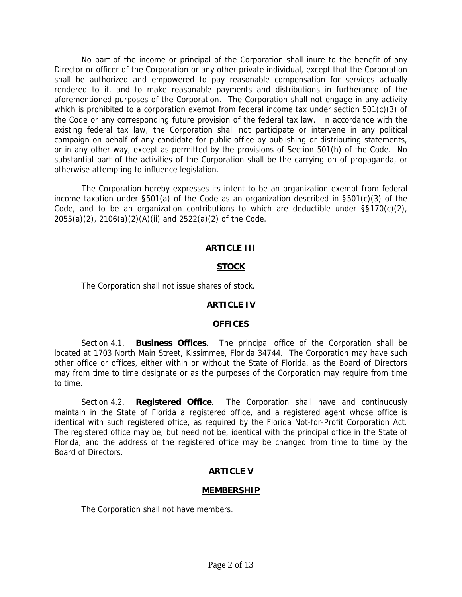No part of the income or principal of the Corporation shall inure to the benefit of any Director or officer of the Corporation or any other private individual, except that the Corporation shall be authorized and empowered to pay reasonable compensation for services actually rendered to it, and to make reasonable payments and distributions in furtherance of the aforementioned purposes of the Corporation. The Corporation shall not engage in any activity which is prohibited to a corporation exempt from federal income tax under section 501(c)(3) of the Code or any corresponding future provision of the federal tax law. In accordance with the existing federal tax law, the Corporation shall not participate or intervene in any political campaign on behalf of any candidate for public office by publishing or distributing statements, or in any other way, except as permitted by the provisions of Section 501(h) of the Code. No substantial part of the activities of the Corporation shall be the carrying on of propaganda, or otherwise attempting to influence legislation.

The Corporation hereby expresses its intent to be an organization exempt from federal income taxation under §501(a) of the Code as an organization described in §501(c)(3) of the Code, and to be an organization contributions to which are deductible under  $\S$ §170(c)(2), 2055(a)(2), 2106(a)(2)(A)(ii) and 2522(a)(2) of the Code.

## **ARTICLE III**

## **STOCK**

The Corporation shall not issue shares of stock.

#### **ARTICLE IV**

#### **OFFICES**

Section 4.1. **Business Offices**. The principal office of the Corporation shall be located at 1703 North Main Street, Kissimmee, Florida 34744. The Corporation may have such other office or offices, either within or without the State of Florida, as the Board of Directors may from time to time designate or as the purposes of the Corporation may require from time to time.

Section 4.2. **Registered Office**. The Corporation shall have and continuously maintain in the State of Florida a registered office, and a registered agent whose office is identical with such registered office, as required by the Florida Not-for-Profit Corporation Act. The registered office may be, but need not be, identical with the principal office in the State of Florida, and the address of the registered office may be changed from time to time by the Board of Directors.

## **ARTICLE V**

#### **MEMBERSHIP**

The Corporation shall not have members.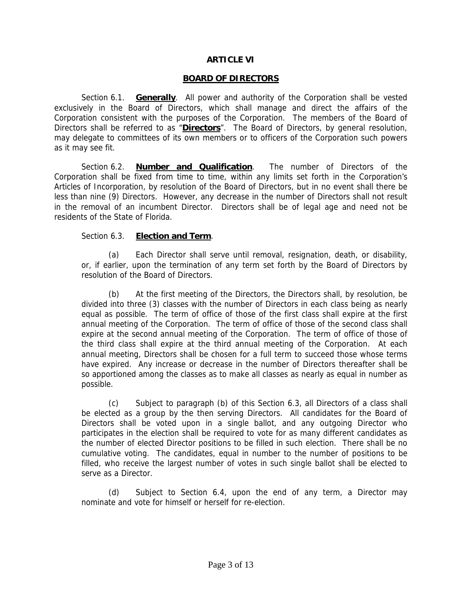## **ARTICLE VI**

#### **BOARD OF DIRECTORS**

Section 6.1. **Generally**. All power and authority of the Corporation shall be vested exclusively in the Board of Directors, which shall manage and direct the affairs of the Corporation consistent with the purposes of the Corporation. The members of the Board of Directors shall be referred to as "**Directors**". The Board of Directors, by general resolution, may delegate to committees of its own members or to officers of the Corporation such powers as it may see fit.

Section 6.2. **Number and Qualification**. The number of Directors of the Corporation shall be fixed from time to time, within any limits set forth in the Corporation's Articles of Incorporation, by resolution of the Board of Directors, but in no event shall there be less than nine (9) Directors. However, any decrease in the number of Directors shall not result in the removal of an incumbent Director. Directors shall be of legal age and need not be residents of the State of Florida.

## Section 6.3. **Election and Term**.

(a) Each Director shall serve until removal, resignation, death, or disability, or, if earlier, upon the termination of any term set forth by the Board of Directors by resolution of the Board of Directors.

(b) At the first meeting of the Directors, the Directors shall, by resolution, be divided into three (3) classes with the number of Directors in each class being as nearly equal as possible. The term of office of those of the first class shall expire at the first annual meeting of the Corporation. The term of office of those of the second class shall expire at the second annual meeting of the Corporation. The term of office of those of the third class shall expire at the third annual meeting of the Corporation. At each annual meeting, Directors shall be chosen for a full term to succeed those whose terms have expired. Any increase or decrease in the number of Directors thereafter shall be so apportioned among the classes as to make all classes as nearly as equal in number as possible.

(c) Subject to paragraph (b) of this Section 6.3, all Directors of a class shall be elected as a group by the then serving Directors. All candidates for the Board of Directors shall be voted upon in a single ballot, and any outgoing Director who participates in the election shall be required to vote for as many different candidates as the number of elected Director positions to be filled in such election. There shall be no cumulative voting. The candidates, equal in number to the number of positions to be filled, who receive the largest number of votes in such single ballot shall be elected to serve as a Director.

(d) Subject to Section 6.4, upon the end of any term, a Director may nominate and vote for himself or herself for re-election.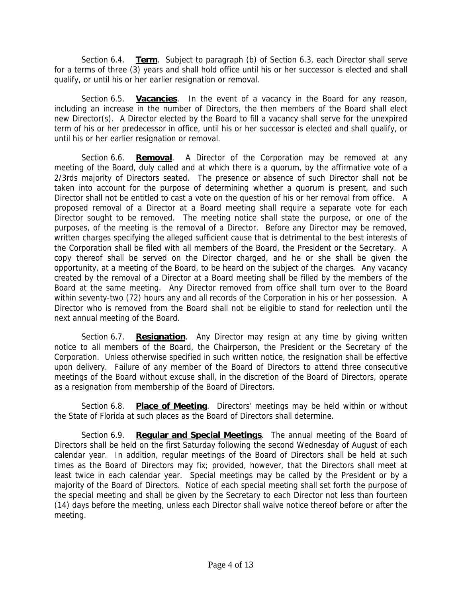Section 6.4. **Term**. Subject to paragraph (b) of Section 6.3, each Director shall serve for a terms of three (3) years and shall hold office until his or her successor is elected and shall qualify, or until his or her earlier resignation or removal.

Section 6.5. **Vacancies**. In the event of a vacancy in the Board for any reason, including an increase in the number of Directors, the then members of the Board shall elect new Director(s). A Director elected by the Board to fill a vacancy shall serve for the unexpired term of his or her predecessor in office, until his or her successor is elected and shall qualify, or until his or her earlier resignation or removal.

Section 6.6. **Removal**. A Director of the Corporation may be removed at any meeting of the Board, duly called and at which there is a quorum, by the affirmative vote of a 2/3rds majority of Directors seated. The presence or absence of such Director shall not be taken into account for the purpose of determining whether a quorum is present, and such Director shall not be entitled to cast a vote on the question of his or her removal from office. A proposed removal of a Director at a Board meeting shall require a separate vote for each Director sought to be removed. The meeting notice shall state the purpose, or one of the purposes, of the meeting is the removal of a Director. Before any Director may be removed, written charges specifying the alleged sufficient cause that is detrimental to the best interests of the Corporation shall be filed with all members of the Board, the President or the Secretary. A copy thereof shall be served on the Director charged, and he or she shall be given the opportunity, at a meeting of the Board, to be heard on the subject of the charges. Any vacancy created by the removal of a Director at a Board meeting shall be filled by the members of the Board at the same meeting. Any Director removed from office shall turn over to the Board within seventy-two (72) hours any and all records of the Corporation in his or her possession. A Director who is removed from the Board shall not be eligible to stand for reelection until the next annual meeting of the Board.

Section 6.7. **Resignation**. Any Director may resign at any time by giving written notice to all members of the Board, the Chairperson, the President or the Secretary of the Corporation. Unless otherwise specified in such written notice, the resignation shall be effective upon delivery. Failure of any member of the Board of Directors to attend three consecutive meetings of the Board without excuse shall, in the discretion of the Board of Directors, operate as a resignation from membership of the Board of Directors.

Section 6.8. **Place of Meeting**. Directors' meetings may be held within or without the State of Florida at such places as the Board of Directors shall determine.

Section 6.9. **Regular and Special Meetings**. The annual meeting of the Board of Directors shall be held on the first Saturday following the second Wednesday of August of each calendar year. In addition, regular meetings of the Board of Directors shall be held at such times as the Board of Directors may fix; provided, however, that the Directors shall meet at least twice in each calendar year. Special meetings may be called by the President or by a majority of the Board of Directors. Notice of each special meeting shall set forth the purpose of the special meeting and shall be given by the Secretary to each Director not less than fourteen (14) days before the meeting, unless each Director shall waive notice thereof before or after the meeting.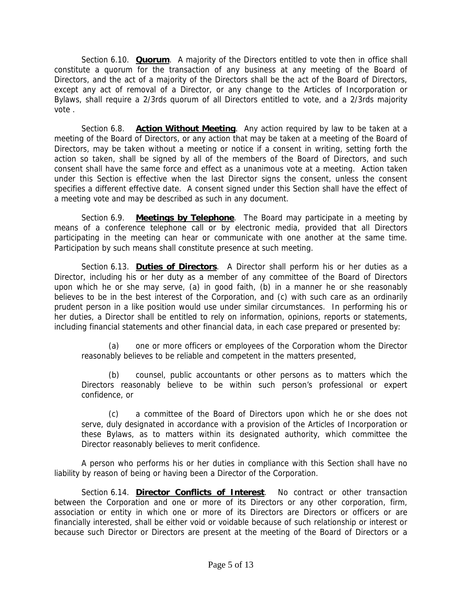Section 6.10. **Quorum**. A majority of the Directors entitled to vote then in office shall constitute a quorum for the transaction of any business at any meeting of the Board of Directors, and the act of a majority of the Directors shall be the act of the Board of Directors, except any act of removal of a Director, or any change to the Articles of Incorporation or Bylaws, shall require a 2/3rds quorum of all Directors entitled to vote, and a 2/3rds majority vote .

Section 6.8. **Action Without Meeting**. Any action required by law to be taken at a meeting of the Board of Directors, or any action that may be taken at a meeting of the Board of Directors, may be taken without a meeting or notice if a consent in writing, setting forth the action so taken, shall be signed by all of the members of the Board of Directors, and such consent shall have the same force and effect as a unanimous vote at a meeting. Action taken under this Section is effective when the last Director signs the consent, unless the consent specifies a different effective date. A consent signed under this Section shall have the effect of a meeting vote and may be described as such in any document.

Section 6.9. **Meetings by Telephone**. The Board may participate in a meeting by means of a conference telephone call or by electronic media, provided that all Directors participating in the meeting can hear or communicate with one another at the same time. Participation by such means shall constitute presence at such meeting.

Section 6.13. **Duties of Directors**. A Director shall perform his or her duties as a Director, including his or her duty as a member of any committee of the Board of Directors upon which he or she may serve, (a) in good faith, (b) in a manner he or she reasonably believes to be in the best interest of the Corporation, and (c) with such care as an ordinarily prudent person in a like position would use under similar circumstances. In performing his or her duties, a Director shall be entitled to rely on information, opinions, reports or statements, including financial statements and other financial data, in each case prepared or presented by:

(a) one or more officers or employees of the Corporation whom the Director reasonably believes to be reliable and competent in the matters presented,

(b) counsel, public accountants or other persons as to matters which the Directors reasonably believe to be within such person's professional or expert confidence, or

(c) a committee of the Board of Directors upon which he or she does not serve, duly designated in accordance with a provision of the Articles of Incorporation or these Bylaws, as to matters within its designated authority, which committee the Director reasonably believes to merit confidence.

A person who performs his or her duties in compliance with this Section shall have no liability by reason of being or having been a Director of the Corporation.

Section 6.14. **Director Conflicts of Interest**. No contract or other transaction between the Corporation and one or more of its Directors or any other corporation, firm, association or entity in which one or more of its Directors are Directors or officers or are financially interested, shall be either void or voidable because of such relationship or interest or because such Director or Directors are present at the meeting of the Board of Directors or a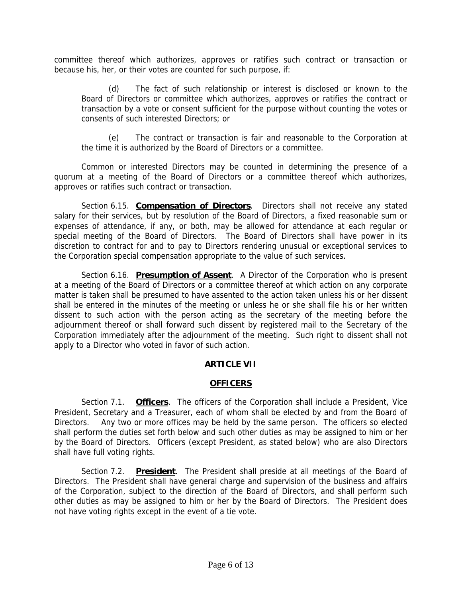committee thereof which authorizes, approves or ratifies such contract or transaction or because his, her, or their votes are counted for such purpose, if:

(d) The fact of such relationship or interest is disclosed or known to the Board of Directors or committee which authorizes, approves or ratifies the contract or transaction by a vote or consent sufficient for the purpose without counting the votes or consents of such interested Directors; or

(e) The contract or transaction is fair and reasonable to the Corporation at the time it is authorized by the Board of Directors or a committee.

Common or interested Directors may be counted in determining the presence of a quorum at a meeting of the Board of Directors or a committee thereof which authorizes, approves or ratifies such contract or transaction.

Section 6.15. **Compensation of Directors**. Directors shall not receive any stated salary for their services, but by resolution of the Board of Directors, a fixed reasonable sum or expenses of attendance, if any, or both, may be allowed for attendance at each regular or special meeting of the Board of Directors. The Board of Directors shall have power in its discretion to contract for and to pay to Directors rendering unusual or exceptional services to the Corporation special compensation appropriate to the value of such services.

Section 6.16. **Presumption of Assent**. A Director of the Corporation who is present at a meeting of the Board of Directors or a committee thereof at which action on any corporate matter is taken shall be presumed to have assented to the action taken unless his or her dissent shall be entered in the minutes of the meeting or unless he or she shall file his or her written dissent to such action with the person acting as the secretary of the meeting before the adjournment thereof or shall forward such dissent by registered mail to the Secretary of the Corporation immediately after the adjournment of the meeting. Such right to dissent shall not apply to a Director who voted in favor of such action.

## **ARTICLE VII**

## **OFFICERS**

Section 7.1. **Officers**. The officers of the Corporation shall include a President, Vice President, Secretary and a Treasurer, each of whom shall be elected by and from the Board of Directors. Any two or more offices may be held by the same person. The officers so elected shall perform the duties set forth below and such other duties as may be assigned to him or her by the Board of Directors. Officers (except President, as stated below) who are also Directors shall have full voting rights.

Section 7.2. **President**. The President shall preside at all meetings of the Board of Directors. The President shall have general charge and supervision of the business and affairs of the Corporation, subject to the direction of the Board of Directors, and shall perform such other duties as may be assigned to him or her by the Board of Directors. The President does not have voting rights except in the event of a tie vote.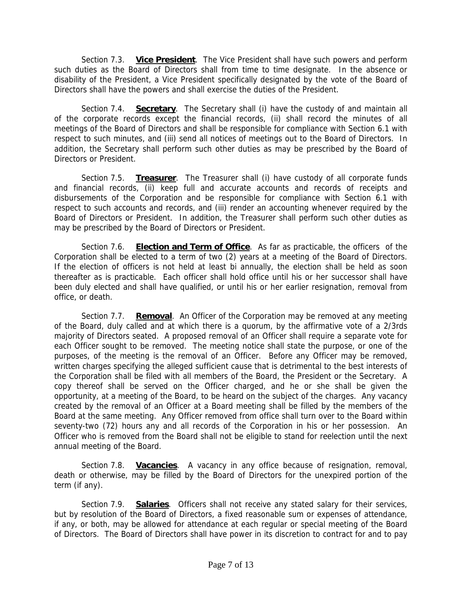Section 7.3. **Vice President**. The Vice President shall have such powers and perform such duties as the Board of Directors shall from time to time designate. In the absence or disability of the President, a Vice President specifically designated by the vote of the Board of Directors shall have the powers and shall exercise the duties of the President.

Section 7.4. **Secretary**. The Secretary shall (i) have the custody of and maintain all of the corporate records except the financial records, (ii) shall record the minutes of all meetings of the Board of Directors and shall be responsible for compliance with Section 6.1 with respect to such minutes, and (iii) send all notices of meetings out to the Board of Directors. In addition, the Secretary shall perform such other duties as may be prescribed by the Board of Directors or President.

Section 7.5. **Treasurer**. The Treasurer shall (i) have custody of all corporate funds and financial records, (ii) keep full and accurate accounts and records of receipts and disbursements of the Corporation and be responsible for compliance with Section 6.1 with respect to such accounts and records, and (iii) render an accounting whenever required by the Board of Directors or President. In addition, the Treasurer shall perform such other duties as may be prescribed by the Board of Directors or President.

Section 7.6. **Election and Term of Office**. As far as practicable, the officers of the Corporation shall be elected to a term of two (2) years at a meeting of the Board of Directors. If the election of officers is not held at least bi annually, the election shall be held as soon thereafter as is practicable. Each officer shall hold office until his or her successor shall have been duly elected and shall have qualified, or until his or her earlier resignation, removal from office, or death.

Section 7.7. **Removal**. An Officer of the Corporation may be removed at any meeting of the Board, duly called and at which there is a quorum, by the affirmative vote of a 2/3rds majority of Directors seated. A proposed removal of an Officer shall require a separate vote for each Officer sought to be removed. The meeting notice shall state the purpose, or one of the purposes, of the meeting is the removal of an Officer. Before any Officer may be removed, written charges specifying the alleged sufficient cause that is detrimental to the best interests of the Corporation shall be filed with all members of the Board, the President or the Secretary. A copy thereof shall be served on the Officer charged, and he or she shall be given the opportunity, at a meeting of the Board, to be heard on the subject of the charges. Any vacancy created by the removal of an Officer at a Board meeting shall be filled by the members of the Board at the same meeting. Any Officer removed from office shall turn over to the Board within seventy-two (72) hours any and all records of the Corporation in his or her possession. An Officer who is removed from the Board shall not be eligible to stand for reelection until the next annual meeting of the Board.

Section 7.8. **Vacancies**. A vacancy in any office because of resignation, removal, death or otherwise, may be filled by the Board of Directors for the unexpired portion of the term (if any).

Section 7.9. **Salaries**. Officers shall not receive any stated salary for their services, but by resolution of the Board of Directors, a fixed reasonable sum or expenses of attendance, if any, or both, may be allowed for attendance at each regular or special meeting of the Board of Directors. The Board of Directors shall have power in its discretion to contract for and to pay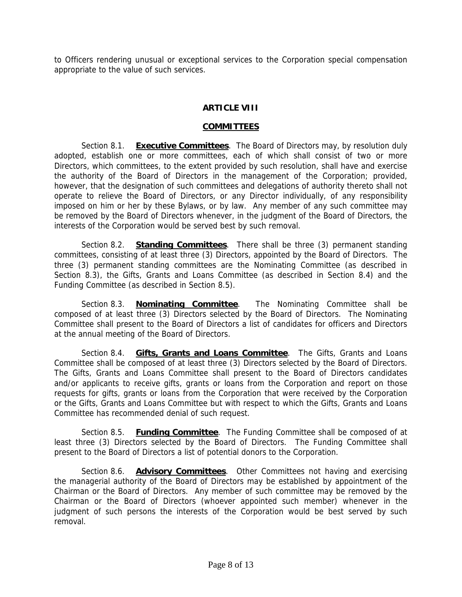to Officers rendering unusual or exceptional services to the Corporation special compensation appropriate to the value of such services.

# **ARTICLE VIII**

## **COMMITTEES**

Section 8.1. **Executive Committees**. The Board of Directors may, by resolution duly adopted, establish one or more committees, each of which shall consist of two or more Directors, which committees, to the extent provided by such resolution, shall have and exercise the authority of the Board of Directors in the management of the Corporation; provided, however, that the designation of such committees and delegations of authority thereto shall not operate to relieve the Board of Directors, or any Director individually, of any responsibility imposed on him or her by these Bylaws, or by law. Any member of any such committee may be removed by the Board of Directors whenever, in the judgment of the Board of Directors, the interests of the Corporation would be served best by such removal.

Section 8.2. **Standing Committees**. There shall be three (3) permanent standing committees, consisting of at least three (3) Directors, appointed by the Board of Directors. The three (3) permanent standing committees are the Nominating Committee (as described in Section 8.3), the Gifts, Grants and Loans Committee (as described in Section 8.4) and the Funding Committee (as described in Section 8.5).

Section 8.3. **Nominating Committee**. The Nominating Committee shall be composed of at least three (3) Directors selected by the Board of Directors. The Nominating Committee shall present to the Board of Directors a list of candidates for officers and Directors at the annual meeting of the Board of Directors.

Section 8.4. **Gifts, Grants and Loans Committee**. The Gifts, Grants and Loans Committee shall be composed of at least three (3) Directors selected by the Board of Directors. The Gifts, Grants and Loans Committee shall present to the Board of Directors candidates and/or applicants to receive gifts, grants or loans from the Corporation and report on those requests for gifts, grants or loans from the Corporation that were received by the Corporation or the Gifts, Grants and Loans Committee but with respect to which the Gifts, Grants and Loans Committee has recommended denial of such request.

Section 8.5. **Funding Committee**. The Funding Committee shall be composed of at least three (3) Directors selected by the Board of Directors. The Funding Committee shall present to the Board of Directors a list of potential donors to the Corporation.

Section 8.6. **Advisory Committees**. Other Committees not having and exercising the managerial authority of the Board of Directors may be established by appointment of the Chairman or the Board of Directors. Any member of such committee may be removed by the Chairman or the Board of Directors (whoever appointed such member) whenever in the judgment of such persons the interests of the Corporation would be best served by such removal.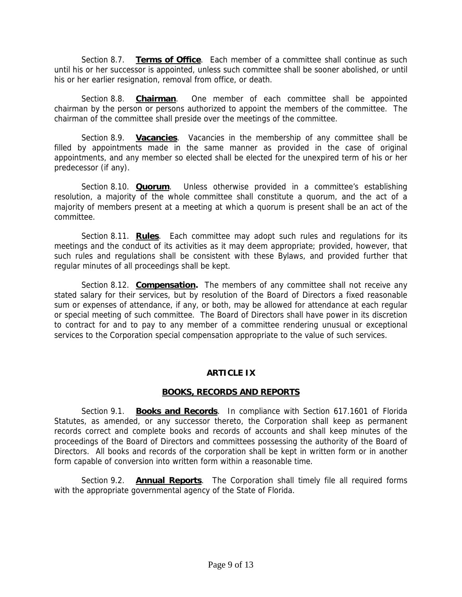Section 8.7. **Terms of Office**. Each member of a committee shall continue as such until his or her successor is appointed, unless such committee shall be sooner abolished, or until his or her earlier resignation, removal from office, or death.

Section 8.8. **Chairman**. One member of each committee shall be appointed chairman by the person or persons authorized to appoint the members of the committee. The chairman of the committee shall preside over the meetings of the committee.

Section 8.9. **Vacancies**. Vacancies in the membership of any committee shall be filled by appointments made in the same manner as provided in the case of original appointments, and any member so elected shall be elected for the unexpired term of his or her predecessor (if any).

Section 8.10. **Quorum**. Unless otherwise provided in a committee's establishing resolution, a majority of the whole committee shall constitute a quorum, and the act of a majority of members present at a meeting at which a quorum is present shall be an act of the committee.

Section 8.11. **Rules**. Each committee may adopt such rules and regulations for its meetings and the conduct of its activities as it may deem appropriate; provided, however, that such rules and regulations shall be consistent with these Bylaws, and provided further that regular minutes of all proceedings shall be kept.

Section 8.12. **Compensation.** The members of any committee shall not receive any stated salary for their services, but by resolution of the Board of Directors a fixed reasonable sum or expenses of attendance, if any, or both, may be allowed for attendance at each regular or special meeting of such committee. The Board of Directors shall have power in its discretion to contract for and to pay to any member of a committee rendering unusual or exceptional services to the Corporation special compensation appropriate to the value of such services.

## **ARTICLE IX**

## **BOOKS, RECORDS AND REPORTS**

Section 9.1. **Books and Records**. In compliance with Section 617.1601 of Florida Statutes, as amended, or any successor thereto, the Corporation shall keep as permanent records correct and complete books and records of accounts and shall keep minutes of the proceedings of the Board of Directors and committees possessing the authority of the Board of Directors. All books and records of the corporation shall be kept in written form or in another form capable of conversion into written form within a reasonable time.

Section 9.2. **Annual Reports**. The Corporation shall timely file all required forms with the appropriate governmental agency of the State of Florida.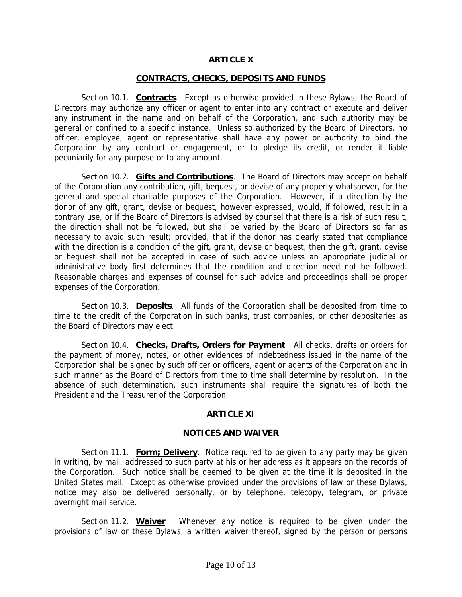## **ARTICLE X**

#### **CONTRACTS, CHECKS, DEPOSITS AND FUNDS**

Section 10.1. **Contracts**. Except as otherwise provided in these Bylaws, the Board of Directors may authorize any officer or agent to enter into any contract or execute and deliver any instrument in the name and on behalf of the Corporation, and such authority may be general or confined to a specific instance. Unless so authorized by the Board of Directors, no officer, employee, agent or representative shall have any power or authority to bind the Corporation by any contract or engagement, or to pledge its credit, or render it liable pecuniarily for any purpose or to any amount.

Section 10.2. **Gifts and Contributions**. The Board of Directors may accept on behalf of the Corporation any contribution, gift, bequest, or devise of any property whatsoever, for the general and special charitable purposes of the Corporation. However, if a direction by the donor of any gift, grant, devise or bequest, however expressed, would, if followed, result in a contrary use, or if the Board of Directors is advised by counsel that there is a risk of such result, the direction shall not be followed, but shall be varied by the Board of Directors so far as necessary to avoid such result; provided, that if the donor has clearly stated that compliance with the direction is a condition of the gift, grant, devise or bequest, then the gift, grant, devise or bequest shall not be accepted in case of such advice unless an appropriate judicial or administrative body first determines that the condition and direction need not be followed. Reasonable charges and expenses of counsel for such advice and proceedings shall be proper expenses of the Corporation.

Section 10.3. **Deposits**. All funds of the Corporation shall be deposited from time to time to the credit of the Corporation in such banks, trust companies, or other depositaries as the Board of Directors may elect.

Section 10.4. **Checks, Drafts, Orders for Payment**. All checks, drafts or orders for the payment of money, notes, or other evidences of indebtedness issued in the name of the Corporation shall be signed by such officer or officers, agent or agents of the Corporation and in such manner as the Board of Directors from time to time shall determine by resolution. In the absence of such determination, such instruments shall require the signatures of both the President and the Treasurer of the Corporation.

## **ARTICLE XI**

#### **NOTICES AND WAIVER**

Section 11.1. **Form; Delivery**. Notice required to be given to any party may be given in writing, by mail, addressed to such party at his or her address as it appears on the records of the Corporation. Such notice shall be deemed to be given at the time it is deposited in the United States mail. Except as otherwise provided under the provisions of law or these Bylaws, notice may also be delivered personally, or by telephone, telecopy, telegram, or private overnight mail service.

Section 11.2. **Waiver**. Whenever any notice is required to be given under the provisions of law or these Bylaws, a written waiver thereof, signed by the person or persons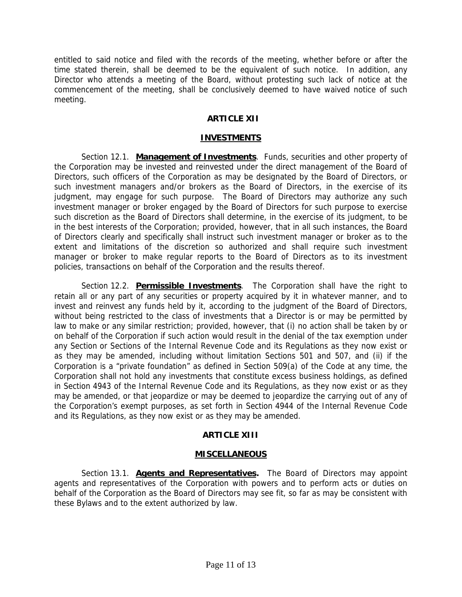entitled to said notice and filed with the records of the meeting, whether before or after the time stated therein, shall be deemed to be the equivalent of such notice. In addition, any Director who attends a meeting of the Board, without protesting such lack of notice at the commencement of the meeting, shall be conclusively deemed to have waived notice of such meeting.

# **ARTICLE XII**

#### **INVESTMENTS**

Section 12.1. **Management of Investments**. Funds, securities and other property of the Corporation may be invested and reinvested under the direct management of the Board of Directors, such officers of the Corporation as may be designated by the Board of Directors, or such investment managers and/or brokers as the Board of Directors, in the exercise of its judgment, may engage for such purpose. The Board of Directors may authorize any such investment manager or broker engaged by the Board of Directors for such purpose to exercise such discretion as the Board of Directors shall determine, in the exercise of its judgment, to be in the best interests of the Corporation; provided, however, that in all such instances, the Board of Directors clearly and specifically shall instruct such investment manager or broker as to the extent and limitations of the discretion so authorized and shall require such investment manager or broker to make regular reports to the Board of Directors as to its investment policies, transactions on behalf of the Corporation and the results thereof.

Section 12.2. **Permissible Investments**. The Corporation shall have the right to retain all or any part of any securities or property acquired by it in whatever manner, and to invest and reinvest any funds held by it, according to the judgment of the Board of Directors, without being restricted to the class of investments that a Director is or may be permitted by law to make or any similar restriction; provided, however, that (i) no action shall be taken by or on behalf of the Corporation if such action would result in the denial of the tax exemption under any Section or Sections of the Internal Revenue Code and its Regulations as they now exist or as they may be amended, including without limitation Sections 501 and 507, and (ii) if the Corporation is a "private foundation" as defined in Section 509(a) of the Code at any time, the Corporation shall not hold any investments that constitute excess business holdings, as defined in Section 4943 of the Internal Revenue Code and its Regulations, as they now exist or as they may be amended, or that jeopardize or may be deemed to jeopardize the carrying out of any of the Corporation's exempt purposes, as set forth in Section 4944 of the Internal Revenue Code and its Regulations, as they now exist or as they may be amended.

# **ARTICLE XIII**

## **MISCELLANEOUS**

Section 13.1. **Agents and Representatives.** The Board of Directors may appoint agents and representatives of the Corporation with powers and to perform acts or duties on behalf of the Corporation as the Board of Directors may see fit, so far as may be consistent with these Bylaws and to the extent authorized by law.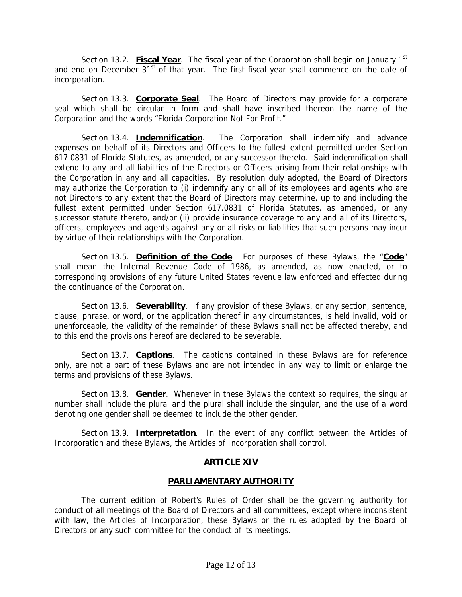Section 13.2. **Fiscal Year**. The fiscal year of the Corporation shall begin on January 1<sup>st</sup> and end on December  $31<sup>st</sup>$  of that year. The first fiscal year shall commence on the date of incorporation.

Section 13.3. **Corporate Seal**. The Board of Directors may provide for a corporate seal which shall be circular in form and shall have inscribed thereon the name of the Corporation and the words "Florida Corporation Not For Profit."

Section 13.4. **Indemnification**. The Corporation shall indemnify and advance expenses on behalf of its Directors and Officers to the fullest extent permitted under Section 617.0831 of Florida Statutes, as amended, or any successor thereto. Said indemnification shall extend to any and all liabilities of the Directors or Officers arising from their relationships with the Corporation in any and all capacities. By resolution duly adopted, the Board of Directors may authorize the Corporation to (i) indemnify any or all of its employees and agents who are not Directors to any extent that the Board of Directors may determine, up to and including the fullest extent permitted under Section 617.0831 of Florida Statutes, as amended, or any successor statute thereto, and/or (ii) provide insurance coverage to any and all of its Directors, officers, employees and agents against any or all risks or liabilities that such persons may incur by virtue of their relationships with the Corporation.

Section 13.5. **Definition of the Code**. For purposes of these Bylaws, the "**Code**" shall mean the Internal Revenue Code of 1986, as amended, as now enacted, or to corresponding provisions of any future United States revenue law enforced and effected during the continuance of the Corporation.

Section 13.6. **Severability**. If any provision of these Bylaws, or any section, sentence, clause, phrase, or word, or the application thereof in any circumstances, is held invalid, void or unenforceable, the validity of the remainder of these Bylaws shall not be affected thereby, and to this end the provisions hereof are declared to be severable.

Section 13.7. **Captions**. The captions contained in these Bylaws are for reference only, are not a part of these Bylaws and are not intended in any way to limit or enlarge the terms and provisions of these Bylaws.

Section 13.8. **Gender**. Whenever in these Bylaws the context so requires, the singular number shall include the plural and the plural shall include the singular, and the use of a word denoting one gender shall be deemed to include the other gender.

Section 13.9. **Interpretation**. In the event of any conflict between the Articles of Incorporation and these Bylaws, the Articles of Incorporation shall control.

# **ARTICLE XIV**

## **PARLIAMENTARY AUTHORITY**

The current edition of Robert's Rules of Order shall be the governing authority for conduct of all meetings of the Board of Directors and all committees, except where inconsistent with law, the Articles of Incorporation, these Bylaws or the rules adopted by the Board of Directors or any such committee for the conduct of its meetings.